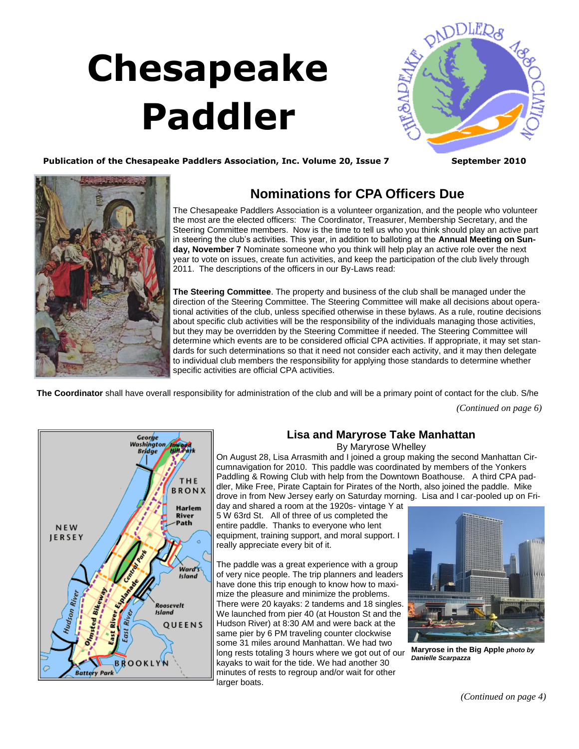## **Chesapeake Paddler**



Publication of the Chesapeake Paddlers Association, Inc. Volume 20, Issue 7 September 2010



## **Nominations for CPA Officers Due**

The Chesapeake Paddlers Association is a volunteer organization, and the people who volunteer the most are the elected officers: The Coordinator, Treasurer, Membership Secretary, and the Steering Committee members. Now is the time to tell us who you think should play an active part in steering the club's activities. This year, in addition to balloting at the **Annual Meeting on Sunday, November 7** Nominate someone who you think will help play an active role over the next year to vote on issues, create fun activities, and keep the participation of the club lively through 2011. The descriptions of the officers in our By-Laws read:

**The Steering Committee**. The property and business of the club shall be managed under the direction of the Steering Committee. The Steering Committee will make all decisions about operational activities of the club, unless specified otherwise in these bylaws. As a rule, routine decisions about specific club activities will be the responsibility of the individuals managing those activities, but they may be overridden by the Steering Committee if needed. The Steering Committee will determine which events are to be considered official CPA activities. If appropriate, it may set standards for such determinations so that it need not consider each activity, and it may then delegate to individual club members the responsibility for applying those standards to determine whether specific activities are official CPA activities.

<span id="page-0-0"></span>**The Coordinator** shall have overall responsibility for administration of the club and will be a primary point of contact for the club. S/he

*(Continued on page 6)*



## **Lisa and Maryrose Take Manhattan**

By Maryrose Whelley

On August 28, Lisa Arrasmith and I joined a group making the second Manhattan Circumnavigation for 2010. This paddle was coordinated by members of the Yonkers Paddling & Rowing Club with help from the Downtown Boathouse. A third CPA paddler, Mike Free, Pirate Captain for Pirates of the North, also joined the paddle. Mike drove in from New Jersey early on Saturday morning. Lisa and I car-pooled up on Fri-

day and shared a room at the 1920s- vintage Y at 5 W 63rd St. All of three of us completed the entire paddle. Thanks to everyone who lent equipment, training support, and moral support. I really appreciate every bit of it.

The paddle was a great experience with a group of very nice people. The trip planners and leaders have done this trip enough to know how to maximize the pleasure and minimize the problems. There were 20 kayaks: 2 tandems and 18 singles. We launched from pier 40 (at Houston St and the Hudson River) at 8:30 AM and were back at the same pier by 6 PM traveling counter clockwise some 31 miles around Manhattan. We had two long rests totaling 3 hours where we got out of our kayaks to wait for the tide. We had another 30 minutes of rests to regroup and/or wait for other larger boats.



**Maryrose in the Big Apple** *photo by Danielle Scarpazza*